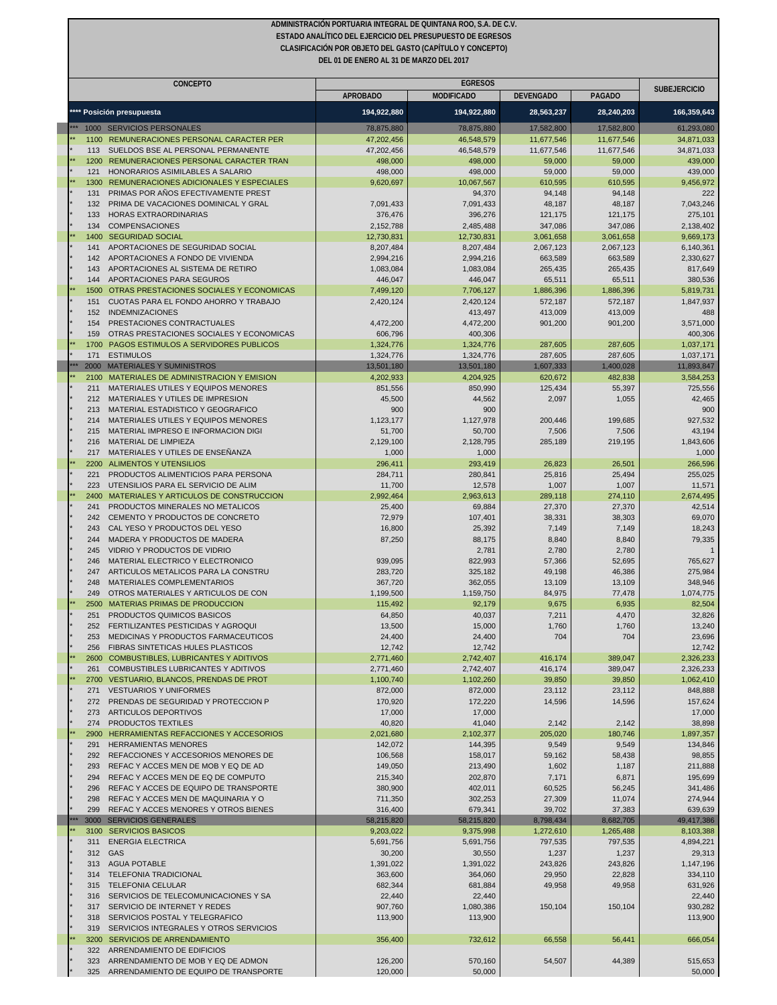| DEL 01 DE ENERO AL 31 DE MARZO DEL 2017 |                                                                                     |                        |                                     |                    |                    |                      |  |
|-----------------------------------------|-------------------------------------------------------------------------------------|------------------------|-------------------------------------|--------------------|--------------------|----------------------|--|
|                                         | <b>CONCEPTO</b>                                                                     | <b>APROBADO</b>        | <b>EGRESOS</b><br><b>MODIFICADO</b> | <b>DEVENGADO</b>   | <b>PAGADO</b>      | <b>SUBEJERCICIO</b>  |  |
|                                         | **** Posición presupuesta                                                           | 194,922,880            | 194,922,880                         | 28,563,237         | 28,240,203         | 166,359,643          |  |
|                                         | 1000 SERVICIOS PERSONALES                                                           | 78,875,880             | 78,875,880                          | 17,582,800         | 17,582,800         | 61,293,080           |  |
| 1100                                    | REMUNERACIONES PERSONAL CARACTER PER                                                | 47,202,456             | 46,548,579                          | 11,677,546         | 11,677,546         | 34,871,033           |  |
| 113                                     | SUELDOS BSE AL PERSONAL PERMANENTE                                                  | 47,202,456             | 46,548,579                          | 11,677,546         | 11,677,546         | 34,871,033           |  |
|                                         | 1200 REMUNERACIONES PERSONAL CARACTER TRAN                                          | 498,000                | 498,000                             | 59,000             | 59,000             | 439,000              |  |
| 121                                     | HONORARIOS ASIMILABLES A SALARIO                                                    | 498,000                | 498,000                             | 59,000             | 59,000             | 439,000              |  |
| 131                                     | 1300 REMUNERACIONES ADICIONALES Y ESPECIALES<br>PRIMAS POR ANOS EFECTIVAMENTE PREST | 9,620,697              | 10,067,567<br>94,370                | 610,595<br>94,148  | 610,595<br>94,148  | 9,456,972<br>222     |  |
| 132                                     | PRIMA DE VACACIONES DOMINICAL Y GRAL                                                | 7,091,433              | 7,091,433                           | 48,187             | 48,187             | 7,043,246            |  |
| 133                                     | HORAS EXTRAORDINARIAS                                                               | 376,476                | 396,276                             | 121,175            | 121,175            | 275,101              |  |
| 134                                     | <b>COMPENSACIONES</b>                                                               | 2,152,788              | 2,485,488                           | 347,086            | 347,086            | 2,138,402            |  |
|                                         | 1400 SEGURIDAD SOCIAL                                                               | 12,730,831             | 12,730,831                          | 3,061,658          | 3,061,658          | 9,669,173            |  |
| 141                                     | APORTACIONES DE SEGURIDAD SOCIAL                                                    | 8,207,484              | 8,207,484                           | 2,067,123          | 2,067,123          | 6,140,361            |  |
| 142<br>143                              | APORTACIONES A FONDO DE VIVIENDA<br>APORTACIONES AL SISTEMA DE RETIRO               | 2,994,216<br>1,083,084 | 2,994,216<br>1,083,084              | 663,589<br>265,435 | 663,589<br>265,435 | 2,330,627<br>817,649 |  |
| 144                                     | APORTACIONES PARA SEGUROS                                                           | 446,047                | 446,047                             | 65,511             | 65,511             | 380,536              |  |
| 1500                                    | OTRAS PRESTACIONES SOCIALES Y ECONOMICAS                                            | 7,499,120              | 7,706,127                           | 1,886,396          | 1,886,396          | 5,819,731            |  |
| 151                                     | CUOTAS PARA EL FONDO AHORRO Y TRABAJO                                               | 2,420,124              | 2,420,124                           | 572,187            | 572,187            | 1,847,937            |  |
| 152                                     | <b>INDEMNIZACIONES</b>                                                              |                        | 413,497                             | 413,009            | 413,009            | 488                  |  |
| 154                                     | PRESTACIONES CONTRACTUALES                                                          | 4,472,200              | 4,472,200                           | 901,200            | 901,200            | 3,571,000            |  |
| 159<br>1700                             | OTRAS PRESTACIONES SOCIALES Y ECONOMICAS<br>PAGOS ESTIMULOS A SERVIDORES PUBLICOS   | 606,796<br>1,324,776   | 400,306<br>1,324,776                | 287,605            | 287,605            | 400,306<br>1,037,171 |  |
| 171                                     | <b>ESTIMULOS</b>                                                                    | 1,324,776              | 1,324,776                           | 287,605            | 287,605            | 1,037,171            |  |
|                                         | 2000 MATERIALES Y SUMINISTROS                                                       | 13,501,180             | 13,501,180                          | 1,607,333          | 1,400,028          | 11,893,847           |  |
| 2100                                    | MATERIALES DE ADMINISTRACION Y EMISION                                              | 4,202,933              | 4,204,925                           | 620,672            | 482,838            | 3,584,253            |  |
| 211                                     | MATERIALES UTILES Y EQUIPOS MENORES                                                 | 851,556                | 850,990                             | 125,434            | 55,397             | 725,556              |  |
| 212                                     | MATERIALES Y UTILES DE IMPRESION                                                    | 45,500                 | 44,562                              | 2,097              | 1,055              | 42,465               |  |
| 213                                     | MATERIAL ESTADISTICO Y GEOGRAFICO                                                   | 900                    | 900                                 |                    |                    | 900                  |  |
| 214<br>215                              | MATERIALES UTILES Y EQUIPOS MENORES<br>MATERIAL IMPRESO E INFORMACION DIGI          | 1,123,177<br>51,700    | 1,127,978<br>50,700                 | 200,446<br>7,506   | 199,685<br>7,506   | 927,532<br>43,194    |  |
| 216                                     | MATERIAL DE LIMPIEZA                                                                | 2,129,100              | 2,128,795                           | 285,189            | 219,195            | 1,843,606            |  |
| 217                                     | MATERIALES Y UTILES DE ENSEÑANZA                                                    | 1,000                  | 1,000                               |                    |                    | 1,000                |  |
| 2200                                    | ALIMENTOS Y UTENSILIOS                                                              | 296,411                | 293,419                             | 26,823             | 26,501             | 266,596              |  |
| 221                                     | PRODUCTOS ALIMENTICIOS PARA PERSONA                                                 | 284,711                | 280,841                             | 25,816             | 25,494             | 255,025              |  |
| 223                                     | UTENSILIOS PARA EL SERVICIO DE ALIM                                                 | 11,700                 | 12,578                              | 1,007              | 1,007              | 11,571               |  |
| 2400<br>241                             | MATERIALES Y ARTICULOS DE CONSTRUCCION<br>PRODUCTOS MINERALES NO METALICOS          | 2,992,464<br>25,400    | 2,963,613<br>69,884                 | 289,118<br>27,370  | 274,110<br>27,370  | 2,674,495<br>42,514  |  |
| 242                                     | CEMENTO Y PRODUCTOS DE CONCRETO                                                     | 72,979                 | 107,401                             | 38,331             | 38,303             | 69,070               |  |
| 243                                     | CAL YESO Y PRODUCTOS DEL YESO                                                       | 16,800                 | 25,392                              | 7,149              | 7,149              | 18,243               |  |
| 244                                     | MADERA Y PRODUCTOS DE MADERA                                                        | 87,250                 | 88,175                              | 8,840              | 8,840              | 79,335               |  |
| 245                                     | VIDRIO Y PRODUCTOS DE VIDRIO                                                        |                        | 2,781                               | 2,780              | 2,780              |                      |  |
| 246                                     | MATERIAL ELECTRICO Y ELECTRONICO                                                    | 939,095                | 822,993                             | 57,366             | 52,695             | 765,627              |  |
| 247<br>248                              | ARTICULOS METALICOS PARA LA CONSTRU<br>MATERIALES COMPLEMENTARIOS                   | 283,720<br>367,720     | 325,182<br>362,055                  | 49,198<br>13,109   | 46,386<br>13,109   | 275,984<br>348,946   |  |
| 249                                     | OTROS MATERIALES Y ARTICULOS DE CON                                                 | 1,199,500              | 1,159,750                           | 84,975             | 77,478             | 1,074,775            |  |
|                                         | 2500 MATERIAS PRIMAS DE PRODUCCION                                                  | 115,492                | 92,179                              | 9,675              | 6,935              | 82,504               |  |
| 251                                     | PRODUCTOS QUIMICOS BASICOS                                                          | 64,850                 | 40,037                              | 7,211              | 4,470              | 32,826               |  |
| 252                                     | FERTILIZANTES PESTICIDAS Y AGROQUI                                                  | 13,500                 | 15,000                              | 1,760              | 1,760              | 13,240               |  |
| 253                                     | MEDICINAS Y PRODUCTOS FARMACEUTICOS                                                 | 24,400                 | 24,400                              | 704                | 704                | 23,696               |  |
| 256                                     | FIBRAS SINTETICAS HULES PLASTICOS<br>2600 COMBUSTIBLES, LUBRICANTES Y ADITIVOS      | 12,742<br>2,771,460    | 12,742                              |                    |                    | 12,742<br>2,326,233  |  |
| 261                                     | COMBUSTIBLES LUBRICANTES Y ADITIVOS                                                 | 2,771,460              | 2,742,407<br>2,742,407              | 416,174<br>416,174 | 389,047<br>389,047 | 2,326,233            |  |
|                                         | 2700 VESTUARIO, BLANCOS, PRENDAS DE PROT                                            | 1,100,740              | 1,102,260                           | 39,850             | 39,850             | 1,062,410            |  |
| 271                                     | <b>VESTUARIOS Y UNIFORMES</b>                                                       | 872,000                | 872,000                             | 23,112             | 23,112             | 848,888              |  |
| 272                                     | PRENDAS DE SEGURIDAD Y PROTECCION P                                                 | 170,920                | 172,220                             | 14,596             | 14,596             | 157,624              |  |
| 273                                     | ARTICULOS DEPORTIVOS                                                                | 17,000                 | 17,000                              |                    |                    | 17,000               |  |
| 274<br>2900                             | PRODUCTOS TEXTILES<br>HERRAMIENTAS REFACCIONES Y ACCESORIOS                         | 40,820<br>2,021,680    | 41,040<br>2,102,377                 | 2,142<br>205,020   | 2,142<br>180,746   | 38,898<br>1,897,357  |  |
| 291                                     | <b>HERRAMIENTAS MENORES</b>                                                         | 142,072                | 144,395                             | 9,549              | 9,549              | 134,846              |  |
| 292                                     | REFACCIONES Y ACCESORIOS MENORES DE                                                 | 106,568                | 158,017                             | 59,162             | 58,438             | 98,855               |  |
| 293                                     | REFAC Y ACCES MEN DE MOB Y EQ DE AD                                                 | 149,050                | 213,490                             | 1,602              | 1,187              | 211,888              |  |
| 294                                     | REFAC Y ACCES MEN DE EQ DE COMPUTO                                                  | 215,340                | 202,870                             | 7,171              | 6,871              | 195,699              |  |
| 296                                     | REFAC Y ACCES DE EQUIPO DE TRANSPORTE                                               | 380,900                | 402,011                             | 60,525             | 56,245             | 341,486              |  |
| 298<br>299                              | REFAC Y ACCES MEN DE MAQUINARIA Y O<br>REFAC Y ACCES MENORES Y OTROS BIENES         | 711,350<br>316,400     | 302,253<br>679,341                  | 27,309<br>39,702   | 11,074<br>37,383   | 274,944<br>639,639   |  |
| 3000                                    | <b>SERVICIOS GENERALES</b>                                                          | 58,215,820             | 58,215,820                          | 8,798,434          | 8,682,705          | 49,417,386           |  |
|                                         | 3100 SERVICIOS BASICOS                                                              | 9,203,022              | 9,375,998                           | 1,272,610          | 1,265,488          | 8,103,388            |  |
| 311                                     | <b>ENERGIA ELECTRICA</b>                                                            | 5,691,756              | 5,691,756                           | 797,535            | 797,535            | 4,894,221            |  |
| 312                                     | GAS                                                                                 | 30,200                 | 30,550                              | 1,237              | 1,237              | 29,313               |  |
| 313                                     | <b>AGUA POTABLE</b>                                                                 | 1,391,022              | 1,391,022                           | 243,826            | 243,826            | 1,147,196            |  |
| 314<br>315                              | <b>TELEFONIA TRADICIONAL</b><br><b>TELEFONIA CELULAR</b>                            | 363,600<br>682,344     | 364,060<br>681,884                  | 29,950<br>49,958   | 22,828<br>49,958   | 334,110<br>631,926   |  |
| 316                                     | SERVICIOS DE TELECOMUNICACIONES Y SA                                                | 22,440                 | 22,440                              |                    |                    | 22,440               |  |
| 317                                     | SERVICIO DE INTERNET Y REDES                                                        | 907,760                | 1,080,386                           | 150,104            | 150,104            | 930,282              |  |
| 318                                     | SERVICIOS POSTAL Y TELEGRAFICO                                                      | 113,900                | 113,900                             |                    |                    | 113,900              |  |
| 319                                     | SERVICIOS INTEGRALES Y OTROS SERVICIOS                                              |                        |                                     |                    |                    |                      |  |
|                                         | 3200 SERVICIOS DE ARRENDAMIENTO                                                     | 356,400                | 732,612                             | 66,558             | 56,441             | 666,054              |  |
| 322<br>323                              | ARRENDAMIENTO DE EDIFICIOS<br>ARRENDAMIENTO DE MOB Y EQ DE ADMON                    | 126,200                | 570,160                             | 54,507             | 44,389             | 515,653              |  |
| 325                                     | ARRENDAMIENTO DE EQUIPO DE TRANSPORTE                                               | 120,000                | 50,000                              |                    |                    | 50,000               |  |